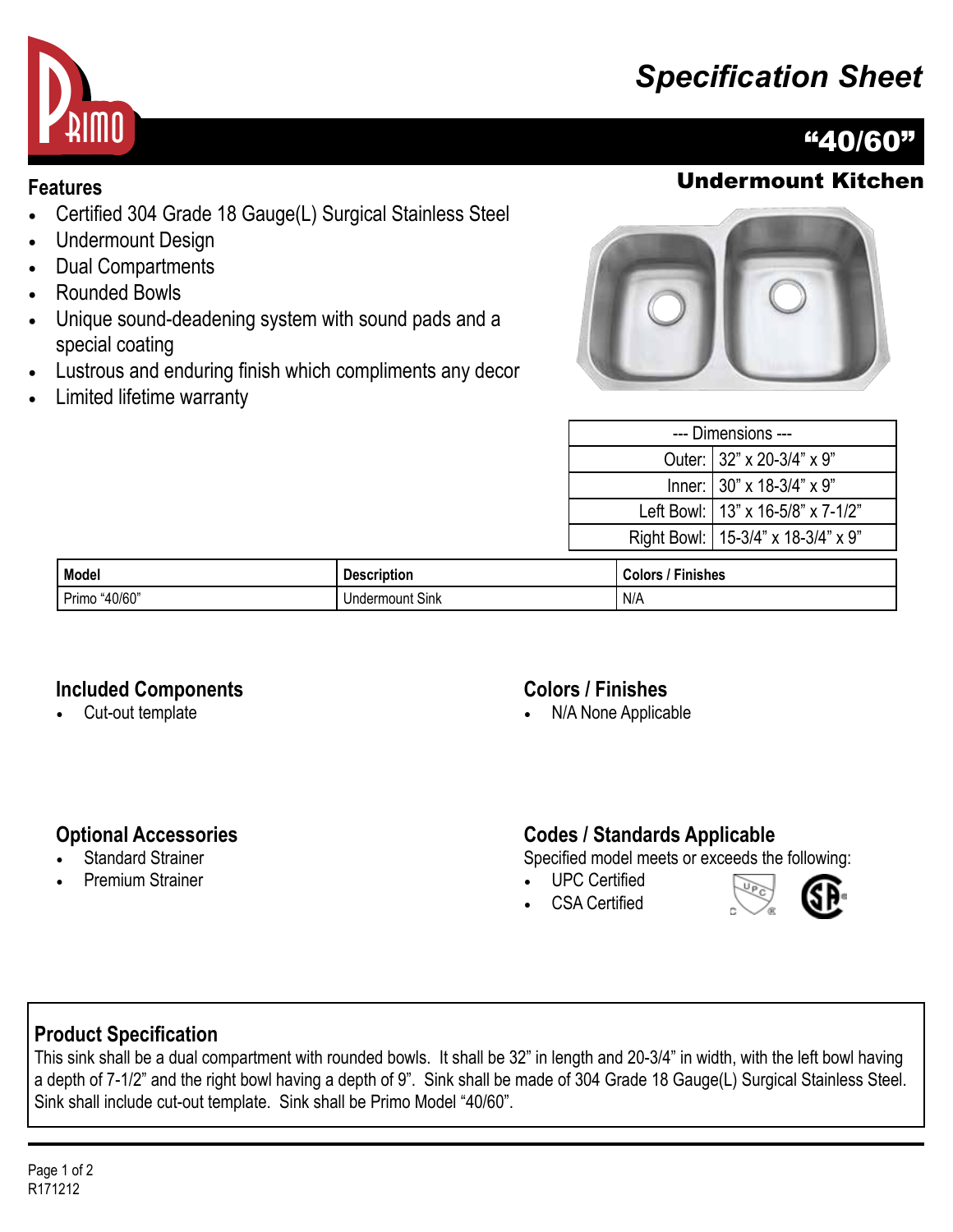# *Specification Sheet*



## "40/60"

### **Features** Undermount Kitchen

- Certified 304 Grade 18 Gauge(L) Surgical Stainless Steel
- Undermount Design
- Dual Compartments
- Rounded Bowls
- Unique sound-deadening system with sound pads and a special coating
- Lustrous and enduring finish which compliments any decor
- Limited lifetime warranty



| --- Dimensions --- |                                        |  |
|--------------------|----------------------------------------|--|
|                    | Outer: 32" x 20-3/4" x 9"              |  |
|                    | Inner: $ 30" \times 18-3/4" \times 9"$ |  |
|                    | Left Bowl:   13" x 16-5/8" x 7-1/2"    |  |
|                    | Right Bowl:   15-3/4" x 18-3/4" x 9"   |  |
|                    |                                        |  |

| <b>Model</b>     | <b>Description</b>    | --<br><b>Finishes</b><br>Colors |
|------------------|-----------------------|---------------------------------|
| "40/60"<br>Primo | Indermount Sink<br>u٠ | N/A                             |

#### **Included Components**

• Cut-out template

#### **Colors / Finishes**

• N/A None Applicable

#### **Optional Accessories**

- **Standard Strainer**
- Premium Strainer

#### **Codes / Standards Applicable**

Specified model meets or exceeds the following:

- UPC Certified
- CSA Certified



#### **Product Specification**

This sink shall be a dual compartment with rounded bowls. It shall be 32" in length and 20-3/4" in width, with the left bowl having a depth of 7-1/2" and the right bowl having a depth of 9". Sink shall be made of 304 Grade 18 Gauge(L) Surgical Stainless Steel. Sink shall include cut-out template. Sink shall be Primo Model "40/60".